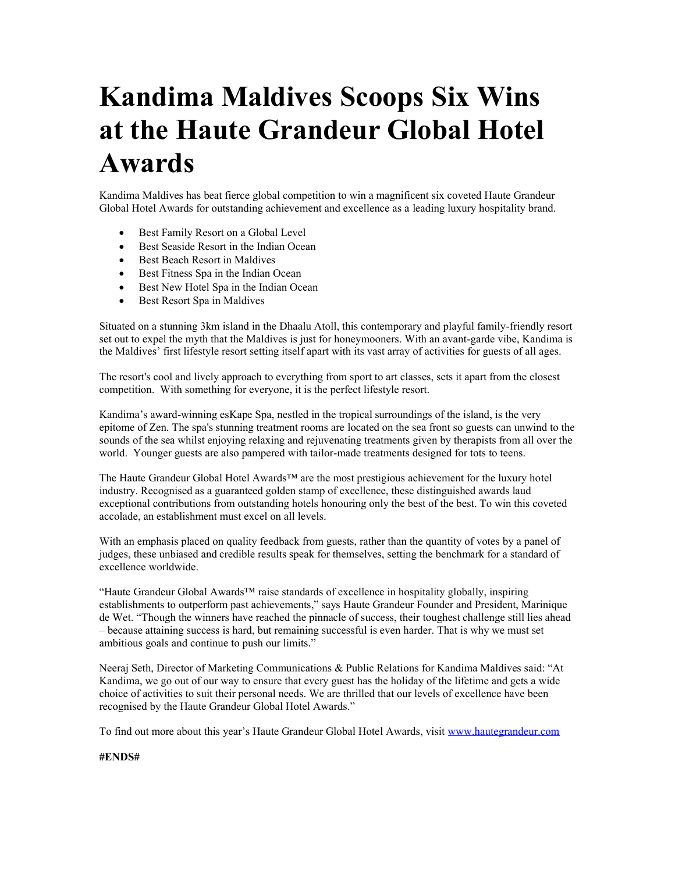# **Kandima Maldives Scoops Six Wins at the Haute Grandeur Global Hotel Awards**

Kandima Maldives has beat fierce global competition to win a magnificent six coveted Haute Grandeur Global Hotel Awards for outstanding achievement and excellence as a leading luxury hospitality brand.

- Best Family Resort on a Global Level
- Best Seaside Resort in the Indian Ocean
- Best Beach Resort in Maldives
- Best Fitness Spa in the Indian Ocean
- Best New Hotel Spa in the Indian Ocean
- Best Resort Spa in Maldives

Situated on a stunning 3km island in the Dhaalu Atoll, this contemporary and playful family-friendly resort set out to expel the myth that the Maldives is just for honeymooners. With an avant-garde vibe, Kandima is the Maldives' first lifestyle resort setting itself apart with its vast array of activities for guests of all ages.

The resort's cool and lively approach to everything from sport to art classes, sets it apart from the closest competition. With something for everyone, it is the perfect lifestyle resort.

Kandima's award-winning esKape Spa, nestled in the tropical surroundings of the island, is the very epitome of Zen. The spa's stunning treatment rooms are located on the sea front so guests can unwind to the sounds of the sea whilst enjoying relaxing and rejuvenating treatments given by therapists from all over the world. Younger guests are also pampered with tailor-made treatments designed for tots to teens.

The Haute Grandeur Global Hotel Awards™ are the most prestigious achievement for the luxury hotel industry. Recognised as a guaranteed golden stamp of excellence, these distinguished awards laud exceptional contributions from outstanding hotels honouring only the best of the best. To win this coveted accolade, an establishment must excel on all levels.

With an emphasis placed on quality feedback from guests, rather than the quantity of votes by a panel of judges, these unbiased and credible results speak for themselves, setting the benchmark for a standard of excellence worldwide.

"Haute Grandeur Global Awards™ raise standards of excellence in hospitality globally, inspiring establishments to outperform past achievements," says Haute Grandeur Founder and President, Marinique de Wet. "Though the winners have reached the pinnacle of success, their toughest challenge still lies ahead – because attaining success is hard, but remaining successful is even harder. That is why we must set ambitious goals and continue to push our limits."

Neeraj Seth, Director of Marketing Communications & Public Relations for Kandima Maldives said: "At Kandima, we go out of our way to ensure that every guest has the holiday of the lifetime and gets a wide choice of activities to suit their personal needs. We are thrilled that our levels of excellence have been recognised by the Haute Grandeur Global Hotel Awards."

To find out more about this year's Haute Grandeur Global Hotel Awards, visit [www.hautegrandeur.com](https://hautegrandeur.us10.list-manage.com/track/click?u=31feb183b3297c9117f71735c&id=febf8122a8&e=c129b2993d)

### **#ENDS#**